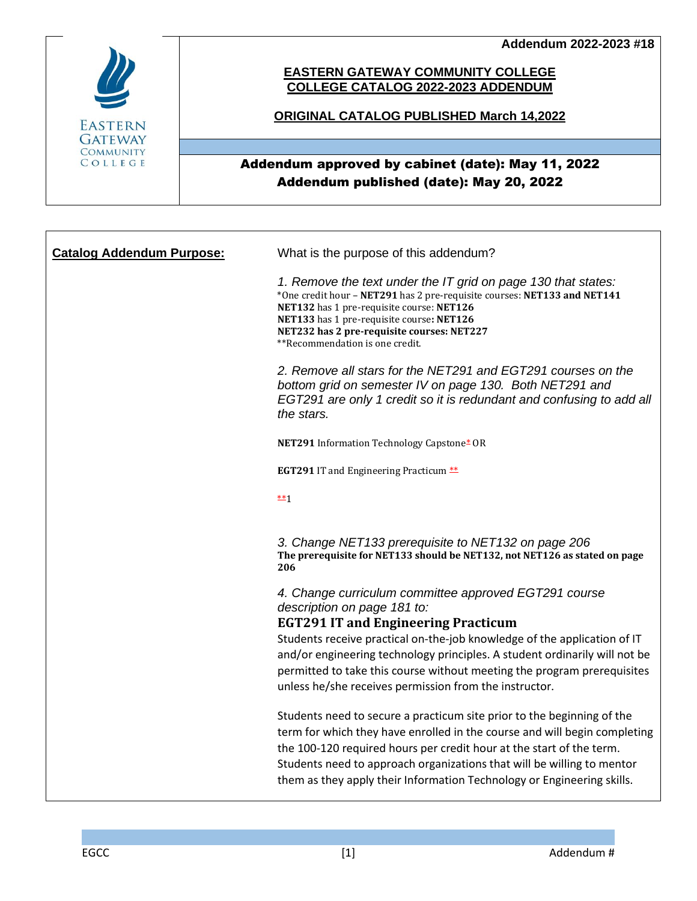**Addendum 2022-2023 #18**



## **EASTERN GATEWAY COMMUNITY COLLEGE COLLEGE CATALOG 2022-2023 ADDENDUM**

## **ORIGINAL CATALOG PUBLISHED March 14,2022**

## Addendum approved by cabinet (date): May 11, 2022 Addendum published (date): May 20, 2022

| <b>Catalog Addendum Purpose:</b> | What is the purpose of this addendum?                                                                                                                                                                                                                                                                                                                                           |
|----------------------------------|---------------------------------------------------------------------------------------------------------------------------------------------------------------------------------------------------------------------------------------------------------------------------------------------------------------------------------------------------------------------------------|
|                                  | 1. Remove the text under the IT grid on page 130 that states:<br>*One credit hour - NET291 has 2 pre-requisite courses: NET133 and NET141<br>NET132 has 1 pre-requisite course: NET126<br>NET133 has 1 pre-requisite course: NET126<br>NET232 has 2 pre-requisite courses: NET227<br>**Recommendation is one credit.                                                            |
|                                  | 2. Remove all stars for the NET291 and EGT291 courses on the<br>bottom grid on semester IV on page 130. Both NET291 and<br>EGT291 are only 1 credit so it is redundant and confusing to add all<br>the stars.                                                                                                                                                                   |
|                                  | NET291 Information Technology Capstone* OR                                                                                                                                                                                                                                                                                                                                      |
|                                  | <b>EGT291 IT and Engineering Practicum **</b>                                                                                                                                                                                                                                                                                                                                   |
|                                  | $**1$                                                                                                                                                                                                                                                                                                                                                                           |
|                                  | 3. Change NET133 prerequisite to NET132 on page 206<br>The prerequisite for NET133 should be NET132, not NET126 as stated on page<br>206                                                                                                                                                                                                                                        |
|                                  | 4. Change curriculum committee approved EGT291 course<br>description on page 181 to:                                                                                                                                                                                                                                                                                            |
|                                  | <b>EGT291 IT and Engineering Practicum</b><br>Students receive practical on-the-job knowledge of the application of IT<br>and/or engineering technology principles. A student ordinarily will not be<br>permitted to take this course without meeting the program prerequisites<br>unless he/she receives permission from the instructor.                                       |
|                                  | Students need to secure a practicum site prior to the beginning of the<br>term for which they have enrolled in the course and will begin completing<br>the 100-120 required hours per credit hour at the start of the term.<br>Students need to approach organizations that will be willing to mentor<br>them as they apply their Information Technology or Engineering skills. |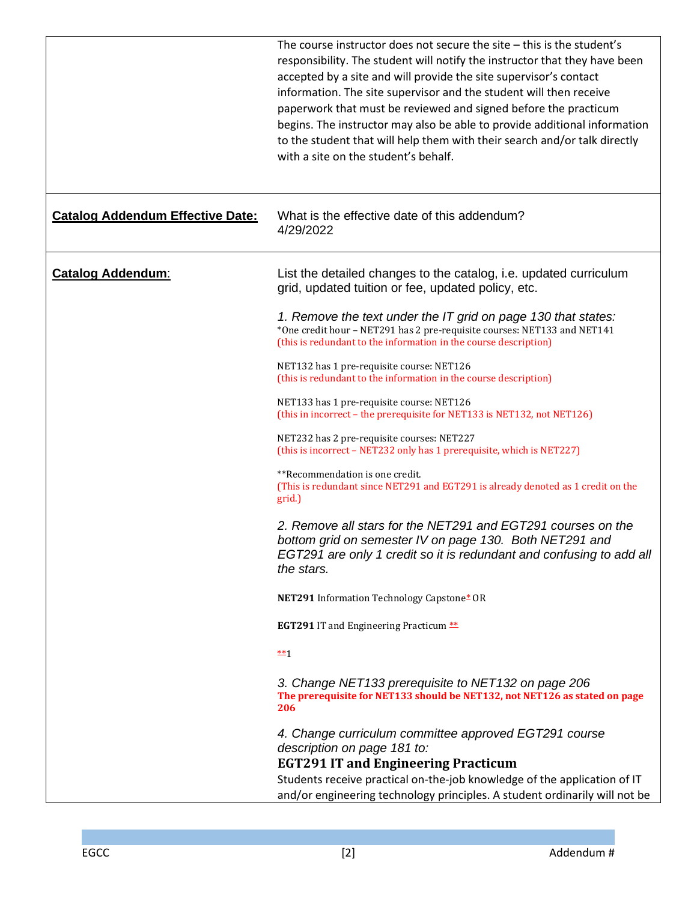|                                         | The course instructor does not secure the site – this is the student's<br>responsibility. The student will notify the instructor that they have been<br>accepted by a site and will provide the site supervisor's contact<br>information. The site supervisor and the student will then receive<br>paperwork that must be reviewed and signed before the practicum<br>begins. The instructor may also be able to provide additional information<br>to the student that will help them with their search and/or talk directly<br>with a site on the student's behalf. |
|-----------------------------------------|----------------------------------------------------------------------------------------------------------------------------------------------------------------------------------------------------------------------------------------------------------------------------------------------------------------------------------------------------------------------------------------------------------------------------------------------------------------------------------------------------------------------------------------------------------------------|
| <b>Catalog Addendum Effective Date:</b> | What is the effective date of this addendum?<br>4/29/2022                                                                                                                                                                                                                                                                                                                                                                                                                                                                                                            |
| <b>Catalog Addendum:</b>                | List the detailed changes to the catalog, i.e. updated curriculum<br>grid, updated tuition or fee, updated policy, etc.                                                                                                                                                                                                                                                                                                                                                                                                                                              |
|                                         | 1. Remove the text under the IT grid on page 130 that states:<br>*One credit hour - NET291 has 2 pre-requisite courses: NET133 and NET141<br>(this is redundant to the information in the course description)                                                                                                                                                                                                                                                                                                                                                        |
|                                         | NET132 has 1 pre-requisite course: NET126<br>(this is redundant to the information in the course description)                                                                                                                                                                                                                                                                                                                                                                                                                                                        |
|                                         | NET133 has 1 pre-requisite course: NET126<br>(this in incorrect - the prerequisite for NET133 is NET132, not NET126)                                                                                                                                                                                                                                                                                                                                                                                                                                                 |
|                                         | NET232 has 2 pre-requisite courses: NET227<br>(this is incorrect - NET232 only has 1 prerequisite, which is NET227)                                                                                                                                                                                                                                                                                                                                                                                                                                                  |
|                                         | **Recommendation is one credit.<br>(This is redundant since NET291 and EGT291 is already denoted as 1 credit on the<br>grid.)                                                                                                                                                                                                                                                                                                                                                                                                                                        |
|                                         | 2. Remove all stars for the NET291 and EGT291 courses on the<br>bottom grid on semester IV on page 130. Both NET291 and<br>EGT291 are only 1 credit so it is redundant and confusing to add all<br>the stars.                                                                                                                                                                                                                                                                                                                                                        |
|                                         | NET291 Information Technology Capstone* OR                                                                                                                                                                                                                                                                                                                                                                                                                                                                                                                           |
|                                         | <b>EGT291 IT and Engineering Practicum **</b>                                                                                                                                                                                                                                                                                                                                                                                                                                                                                                                        |
|                                         | $**1$                                                                                                                                                                                                                                                                                                                                                                                                                                                                                                                                                                |
|                                         | 3. Change NET133 prerequisite to NET132 on page 206<br>The prerequisite for NET133 should be NET132, not NET126 as stated on page<br>206                                                                                                                                                                                                                                                                                                                                                                                                                             |
|                                         | 4. Change curriculum committee approved EGT291 course<br>description on page 181 to:                                                                                                                                                                                                                                                                                                                                                                                                                                                                                 |
|                                         | <b>EGT291 IT and Engineering Practicum</b><br>Students receive practical on-the-job knowledge of the application of IT                                                                                                                                                                                                                                                                                                                                                                                                                                               |
|                                         | and/or engineering technology principles. A student ordinarily will not be                                                                                                                                                                                                                                                                                                                                                                                                                                                                                           |